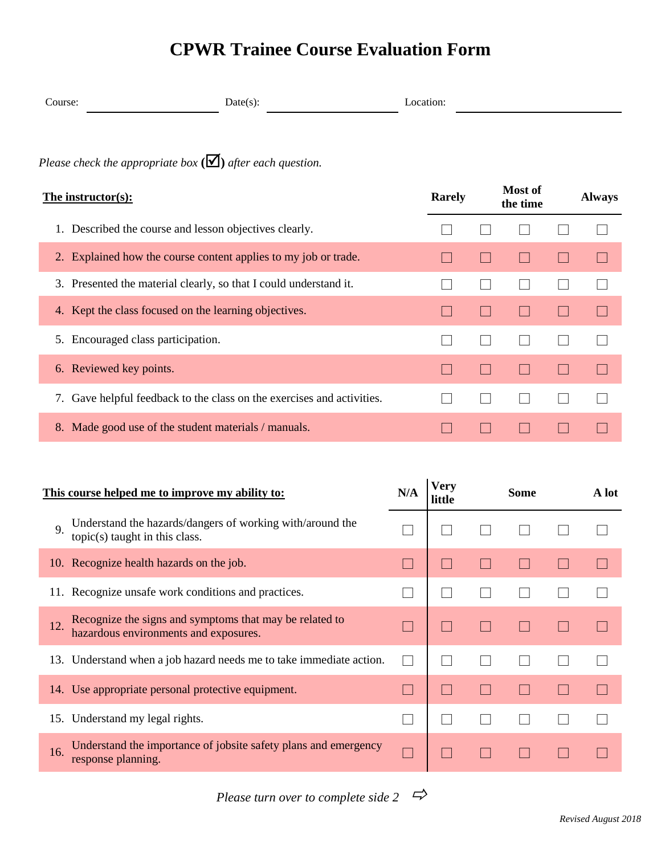## **CPWR Trainee Course Evaluation Form**

| -<br>COUTSet | - --<br>. |
|--------------|-----------|
|              |           |

*Please check the appropriate box*  $(\mathbf{\nabla})$  *after each question.* 

| The instructor(s):                                                        | <b>Rarely</b> | Most of<br>the time | <b>Always</b> |
|---------------------------------------------------------------------------|---------------|---------------------|---------------|
| Described the course and lesson objectives clearly.                       |               |                     |               |
| 2. Explained how the course content applies to my job or trade.           |               |                     |               |
| 3. Presented the material clearly, so that I could understand it.         |               |                     |               |
| 4. Kept the class focused on the learning objectives.                     |               |                     |               |
| 5. Encouraged class participation.                                        |               |                     |               |
| 6. Reviewed key points.                                                   |               |                     |               |
| Gave helpful feedback to the class on the exercises and activities.<br>7. |               |                     |               |
| 8. Made good use of the student materials / manuals.                      |               |                     |               |

| This course helped me to improve my ability to:                                                         | N/A | Verv<br>little | <b>Some</b> | A lot |
|---------------------------------------------------------------------------------------------------------|-----|----------------|-------------|-------|
| Understand the hazards/dangers of working with/around the<br>9.<br>topic(s) taught in this class.       |     |                |             |       |
| 10. Recognize health hazards on the job.                                                                |     |                |             |       |
| 11. Recognize unsafe work conditions and practices.                                                     |     |                |             |       |
| Recognize the signs and symptoms that may be related to<br>12.<br>hazardous environments and exposures. |     |                |             |       |
| 13. Understand when a job hazard needs me to take immediate action.                                     |     |                |             |       |
| 14. Use appropriate personal protective equipment.                                                      |     |                |             |       |
| 15. Understand my legal rights.                                                                         |     |                |             |       |
| Understand the importance of jobsite safety plans and emergency<br>16.<br>response planning.            |     |                |             |       |

*Please turn over to complete side 2*